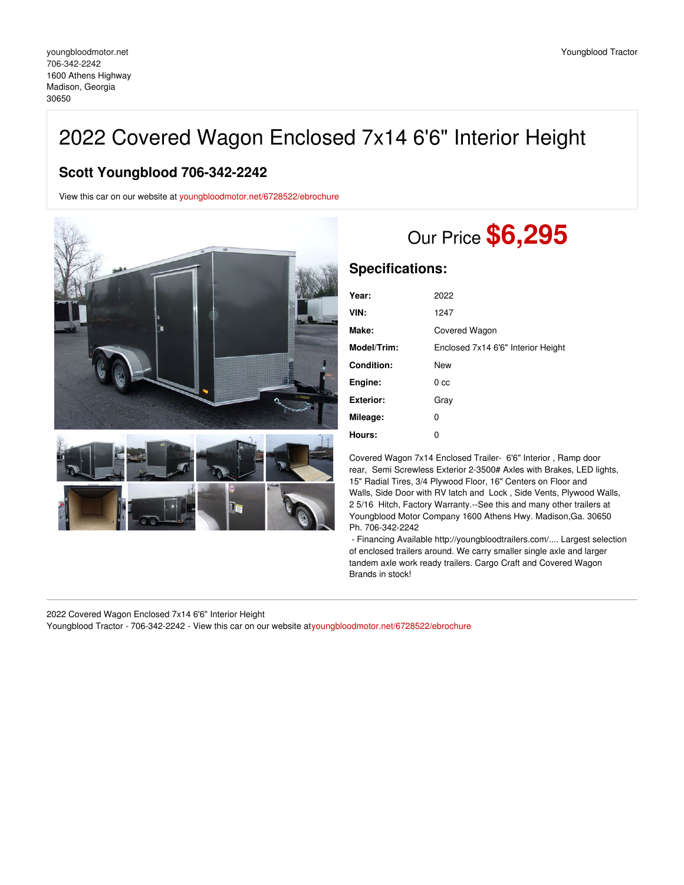## 2022 Covered Wagon Enclosed 7x14 6'6" Interior Height

## **Scott Youngblood 706-342-2242**

View this car on our website at [youngbloodmotor.net/6728522/ebrochure](https://youngbloodmotor.net/vehicle/6728522/2022-covered-wagon-enclosed-7x14-6-6-interior-height-madison-georgia-30650/6728522/ebrochure)





## Our Price **\$6,295**

## **Specifications:**

| Year:            | 2022                               |
|------------------|------------------------------------|
| VIN:             | 1247                               |
| Make:            | Covered Wagon                      |
| Model/Trim:      | Enclosed 7x14 6'6" Interior Height |
| Condition:       | <b>New</b>                         |
| Engine:          | 0 <sub>cc</sub>                    |
| <b>Exterior:</b> | Gray                               |
| Mileage:         | 0                                  |
| Hours:           | 0                                  |

Covered Wagon 7x14 Enclosed Trailer- 6'6" Interior , Ramp door rear, Semi Screwless Exterior 2-3500# Axles with Brakes, LED lights, 15" Radial Tires, 3/4 Plywood Floor, 16" Centers on Floor and Walls, Side Door with RV latch and Lock , Side Vents, Plywood Walls, 2 5/16 Hitch, Factory Warranty.--See this and many other trailers at Youngblood Motor Company 1600 Athens Hwy. Madison,Ga. 30650 Ph. 706-342-2242

- Financing Available http://youngbloodtrailers.com/.... Largest selection of enclosed trailers around. We carry smaller single axle and larger tandem axle work ready trailers. Cargo Craft and Covered Wagon Brands in stock!

2022 Covered Wagon Enclosed 7x14 6'6" Interior Height

Youngblood Tractor - 706-342-2242 - View this car on our website a[tyoungbloodmotor.net/6728522/ebrochure](https://youngbloodmotor.net/vehicle/6728522/2022-covered-wagon-enclosed-7x14-6-6-interior-height-madison-georgia-30650/6728522/ebrochure)